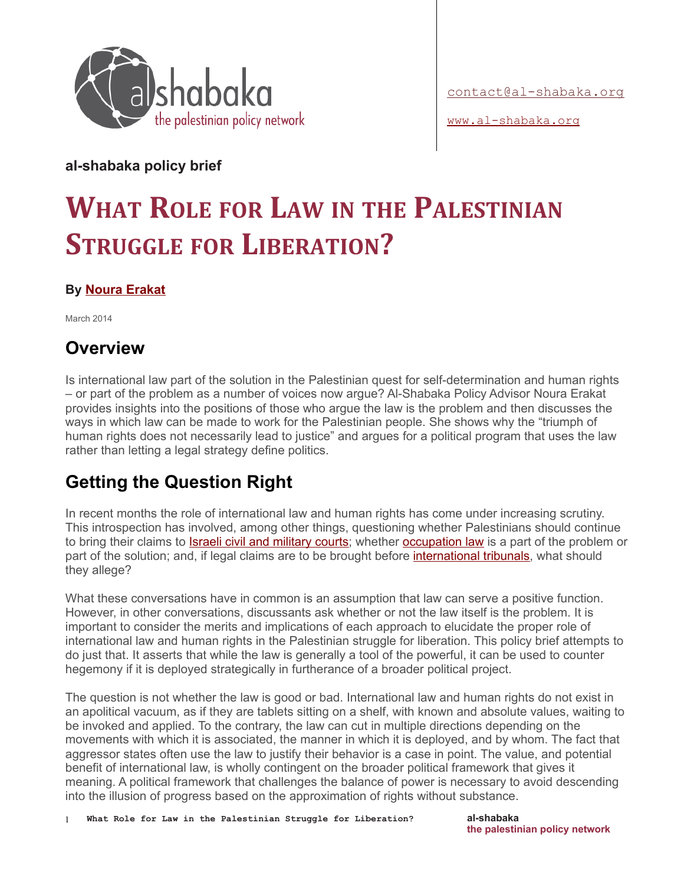

[www.al-shabaka.org](http://www.al-shabaka.org/)

**al-shabaka policy brief**

# **WHAT ROLE FOR LAW IN THE PALESTINIAN STRUGGLE FOR LIBERATION?**

#### **By [Noura Erakat](http://al-shabaka.org/people/policy-advisor/noura-erakat)**

March 2014

#### **Overview**

Is international law part of the solution in the Palestinian quest for self-determination and human rights – or part of the problem as a number of voices now argue? Al-Shabaka Policy Advisor Noura Erakat provides insights into the positions of those who argue the law is the problem and then discusses the ways in which law can be made to work for the Palestinian people. She shows why the "triumph of human rights does not necessarily lead to justice" and argues for a political program that uses the law rather than letting a legal strategy define politics.

## **Getting the Question Right**

In recent months the role of international law and human rights has come under increasing scrutiny. This introspection has involved, among other things, questioning whether Palestinians should continue to bring their claims to **Israeli civil and military courts**; whether **occupation law** is a part of the problem or part of the solution; and, if legal claims are to be brought before *international tribunals*, what should they allege?

What these conversations have in common is an assumption that law can serve a positive function. However, in other conversations, discussants ask whether or not the law itself is the problem. It is important to consider the merits and implications of each approach to elucidate the proper role of international law and human rights in the Palestinian struggle for liberation. This policy brief attempts to do just that. It asserts that while the law is generally a tool of the powerful, it can be used to counter hegemony if it is deployed strategically in furtherance of a broader political project.

The question is not whether the law is good or bad. International law and human rights do not exist in an apolitical vacuum, as if they are tablets sitting on a shelf, with known and absolute values, waiting to be invoked and applied. To the contrary, the law can cut in multiple directions depending on the movements with which it is associated, the manner in which it is deployed, and by whom. The fact that aggressor states often use the law to justify their behavior is a case in point. The value, and potential benefit of international law, is wholly contingent on the broader political framework that gives it meaning. A political framework that challenges the balance of power is necessary to avoid descending into the illusion of progress based on the approximation of rights without substance.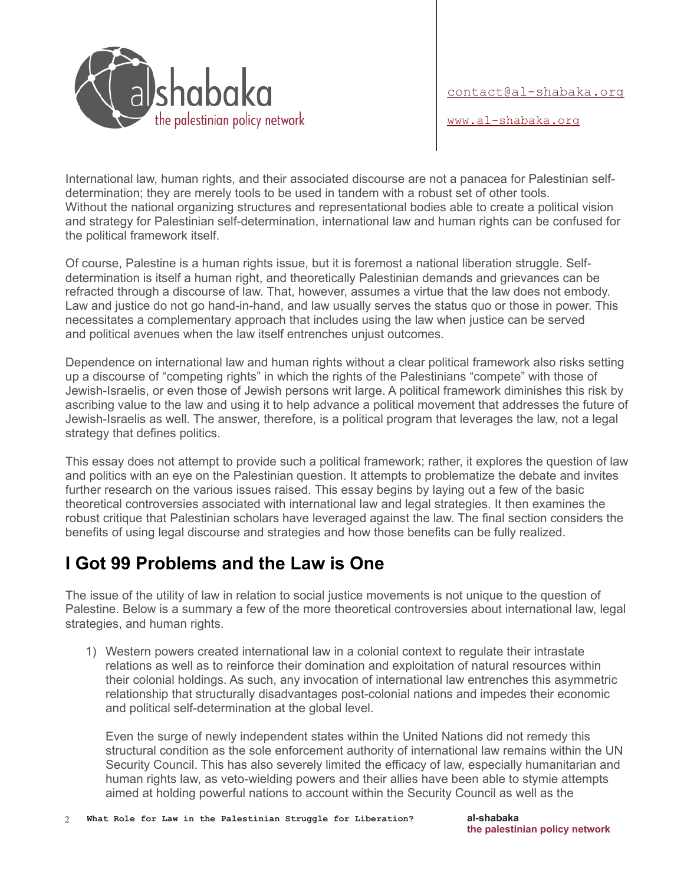

[www.al-shabaka.org](http://www.al-shabaka.org/)

International law, human rights, and their associated discourse are not a panacea for Palestinian selfdetermination; they are merely tools to be used in tandem with a robust set of other tools. Without the national organizing structures and representational bodies able to create a political vision and strategy for Palestinian self-determination, international law and human rights can be confused for the political framework itself.

Of course, Palestine is a human rights issue, but it is foremost a national liberation struggle. Selfdetermination is itself a human right, and theoretically Palestinian demands and grievances can be refracted through a discourse of law. That, however, assumes a virtue that the law does not embody. Law and justice do not go hand-in-hand, and law usually serves the status quo or those in power. This necessitates a complementary approach that includes using the law when justice can be served and political avenues when the law itself entrenches unjust outcomes.

Dependence on international law and human rights without a clear political framework also risks setting up a discourse of "competing rights" in which the rights of the Palestinians "compete" with those of Jewish-Israelis, or even those of Jewish persons writ large. A political framework diminishes this risk by ascribing value to the law and using it to help advance a political movement that addresses the future of Jewish-Israelis as well. The answer, therefore, is a political program that leverages the law, not a legal strategy that defines politics.

This essay does not attempt to provide such a political framework; rather, it explores the question of law and politics with an eye on the Palestinian question. It attempts to problematize the debate and invites further research on the various issues raised. This essay begins by laying out a few of the basic theoretical controversies associated with international law and legal strategies. It then examines the robust critique that Palestinian scholars have leveraged against the law. The final section considers the benefits of using legal discourse and strategies and how those benefits can be fully realized.

### **I Got 99 Problems and the Law is One**

The issue of the utility of law in relation to social justice movements is not unique to the question of Palestine. Below is a summary a few of the more theoretical controversies about international law, legal strategies, and human rights.

1) Western powers created international law in a colonial context to regulate their intrastate relations as well as to reinforce their domination and exploitation of natural resources within their colonial holdings. As such, any invocation of international law entrenches this asymmetric relationship that structurally disadvantages post-colonial nations and impedes their economic and political self-determination at the global level.

Even the surge of newly independent states within the United Nations did not remedy this structural condition as the sole enforcement authority of international law remains within the UN Security Council. This has also severely limited the efficacy of law, especially humanitarian and human rights law, as veto-wielding powers and their allies have been able to stymie attempts aimed at holding powerful nations to account within the Security Council as well as the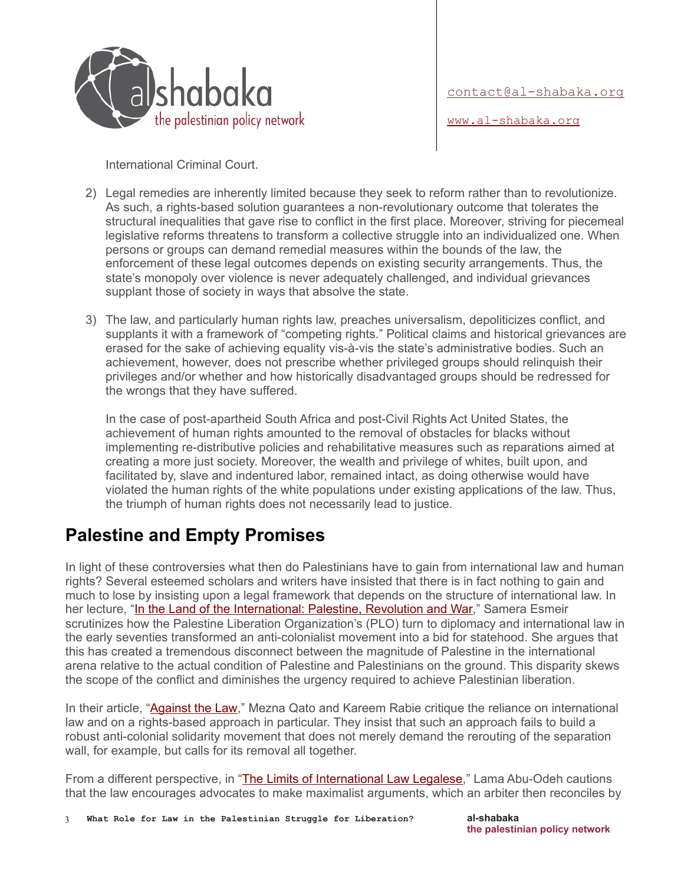

[www.al-shabaka.org](http://www.al-shabaka.org/)

International Criminal Court.

- 2) Legal remedies are inherently limited because they seek to reform rather than to revolutionize. As such, a rights-based solution guarantees a non-revolutionary outcome that tolerates the structural inequalities that gave rise to conflict in the first place. Moreover, striving for piecemeal legislative reforms threatens to transform a collective struggle into an individualized one. When persons or groups can demand remedial measures within the bounds of the law, the enforcement of these legal outcomes depends on existing security arrangements. Thus, the state's monopoly over violence is never adequately challenged, and individual grievances supplant those of society in ways that absolve the state.
- 3) The law, and particularly human rights law, preaches universalism, depoliticizes conflict, and supplants it with a framework of "competing rights." Political claims and historical grievances are erased for the sake of achieving equality vis-à-vis the state's administrative bodies. Such an achievement, however, does not prescribe whether privileged groups should relinquish their privileges and/or whether and how historically disadvantaged groups should be redressed for the wrongs that they have suffered.

In the case of post-apartheid South Africa and post-Civil Rights Act United States, the achievement of human rights amounted to the removal of obstacles for blacks without implementing re-distributive policies and rehabilitative measures such as reparations aimed at creating a more just society. Moreover, the wealth and privilege of whites, built upon, and facilitated by, slave and indentured labor, remained intact, as doing otherwise would have violated the human rights of the white populations under existing applications of the law. Thus, the triumph of human rights does not necessarily lead to justice.

### **Palestine and Empty Promises**

In light of these controversies what then do Palestinians have to gain from international law and human rights? Several esteemed scholars and writers have insisted that there is in fact nothing to gain and much to lose by insisting upon a legal framework that depends on the structure of international law. In her lecture, ["In the Land of the International: Palestine, Revolution and War,](http://vimeo.com/80100629)" Samera Esmeir scrutinizes how the Palestine Liberation Organization's (PLO) turn to diplomacy and international law in the early seventies transformed an anti-colonialist movement into a bid for statehood. She argues that this has created a tremendous disconnect between the magnitude of Palestine in the international arena relative to the actual condition of Palestine and Palestinians on the ground. This disparity skews the scope of the conflict and diminishes the urgency required to achieve Palestinian liberation.

In their article, "**Against the Law**," Mezna Qato and Kareem Rabie critique the reliance on international law and on a rights-based approach in particular. They insist that such an approach fails to build a robust anti-colonial solidarity movement that does not merely demand the rerouting of the separation wall, for example, but calls for its removal all together.

From a different perspective, in ["The Limits of International Law Legalese,](http://www.jadaliyya.com/pages/index/8800/the-limits-of-international-law-legalese)" Lama Abu-Odeh cautions that the law encourages advocates to make maximalist arguments, which an arbiter then reconciles by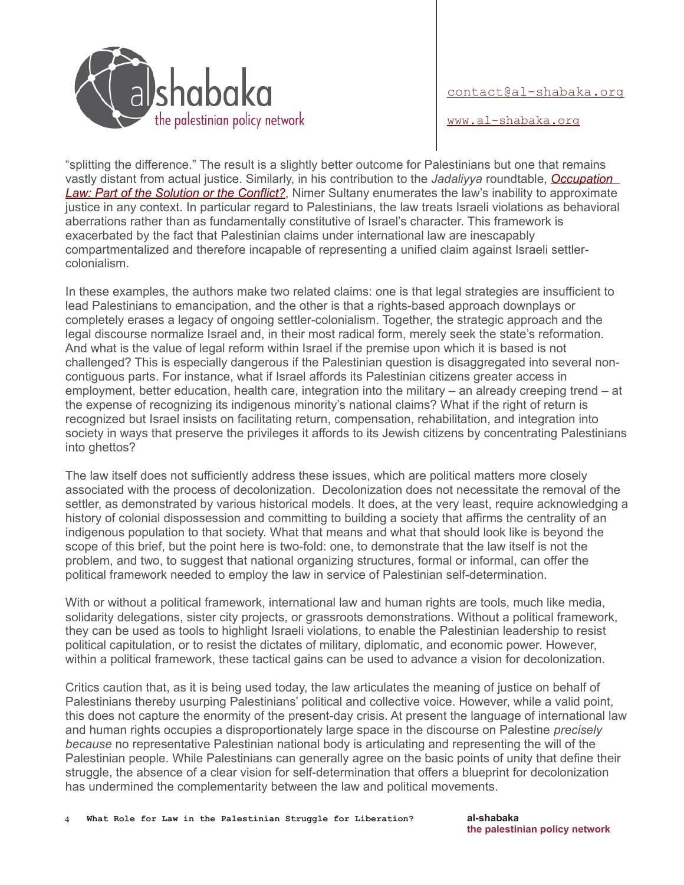

[www.al-shabaka.org](http://www.al-shabaka.org/)

"splitting the difference." The result is a slightly better outcome for Palestinians but one that remains vastly distant from actual justice. Similarly, in his contribution to the *Jadaliyya* roundtable, *[Occupation](http://www.jadaliyya.com/pages/index/2699/roundtable-on-occupation-law_part-of-the-conflict-)  [Law: Part of the Solution or the Conflict?](http://www.jadaliyya.com/pages/index/2699/roundtable-on-occupation-law_part-of-the-conflict-)*, Nimer Sultany enumerates the law's inability to approximate justice in any context. In particular regard to Palestinians, the law treats Israeli violations as behavioral aberrations rather than as fundamentally constitutive of Israel's character. This framework is exacerbated by the fact that Palestinian claims under international law are inescapably compartmentalized and therefore incapable of representing a unified claim against Israeli settlercolonialism.

In these examples, the authors make two related claims: one is that legal strategies are insufficient to lead Palestinians to emancipation, and the other is that a rights-based approach downplays or completely erases a legacy of ongoing settler-colonialism. Together, the strategic approach and the legal discourse normalize Israel and, in their most radical form, merely seek the state's reformation. And what is the value of legal reform within Israel if the premise upon which it is based is not challenged? This is especially dangerous if the Palestinian question is disaggregated into several noncontiguous parts. For instance, what if Israel affords its Palestinian citizens greater access in employment, better education, health care, integration into the military – an already creeping trend – at the expense of recognizing its indigenous minority's national claims? What if the right of return is recognized but Israel insists on facilitating return, compensation, rehabilitation, and integration into society in ways that preserve the privileges it affords to its Jewish citizens by concentrating Palestinians into ghettos?

The law itself does not sufficiently address these issues, which are political matters more closely associated with the process of decolonization. Decolonization does not necessitate the removal of the settler, as demonstrated by various historical models. It does, at the very least, require acknowledging a history of colonial dispossession and committing to building a society that affirms the centrality of an indigenous population to that society. What that means and what that should look like is beyond the scope of this brief, but the point here is two-fold: one, to demonstrate that the law itself is not the problem, and two, to suggest that national organizing structures, formal or informal, can offer the political framework needed to employ the law in service of Palestinian self-determination.

With or without a political framework, international law and human rights are tools, much like media, solidarity delegations, sister city projects, or grassroots demonstrations. Without a political framework, they can be used as tools to highlight Israeli violations, to enable the Palestinian leadership to resist political capitulation, or to resist the dictates of military, diplomatic, and economic power. However, within a political framework, these tactical gains can be used to advance a vision for decolonization.

Critics caution that, as it is being used today, the law articulates the meaning of justice on behalf of Palestinians thereby usurping Palestinians' political and collective voice. However, while a valid point, this does not capture the enormity of the present-day crisis. At present the language of international law and human rights occupies a disproportionately large space in the discourse on Palestine *precisely because* no representative Palestinian national body is articulating and representing the will of the Palestinian people. While Palestinians can generally agree on the basic points of unity that define their struggle, the absence of a clear vision for self-determination that offers a blueprint for decolonization has undermined the complementarity between the law and political movements.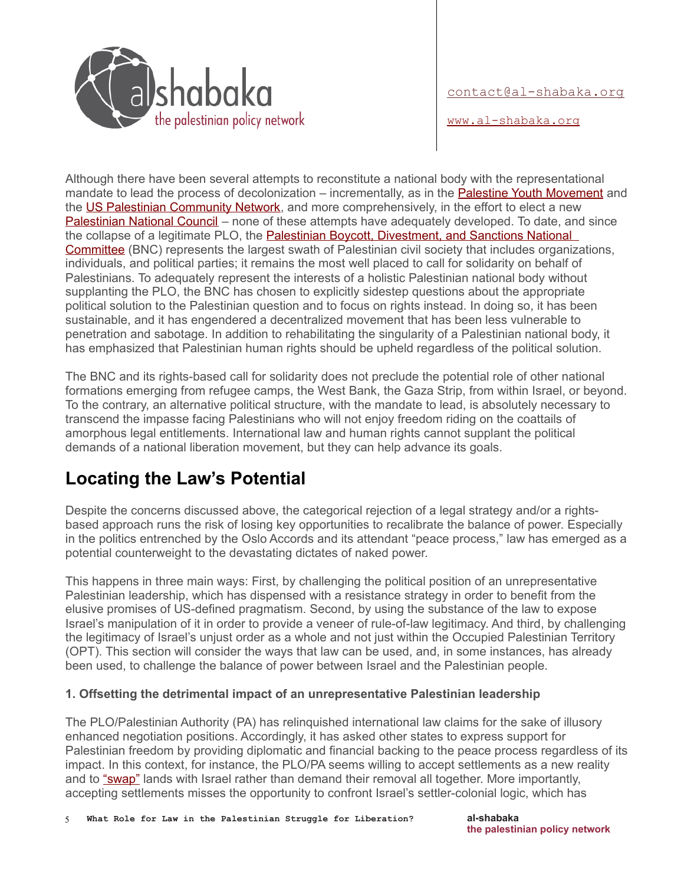

[www.al-shabaka.org](http://www.al-shabaka.org/)

Although there have been several attempts to reconstitute a national body with the representational mandate to lead the process of decolonization – incrementally, as in the [Palestine Youth Movement](http://www.pal-youth.org/) and the [US Palestinian Community Network,](http://uspcn.org/) and more comprehensively, in the effort to elect a new [Palestinian National Council](http://www.pncregcampaign.org/) – none of these attempts have adequately developed. To date, and since the collapse of a legitimate PLO, the [Palestinian Boycott, Divestment, and Sanctions National](http://www.bdsmovement.net/)  [Committee](http://www.bdsmovement.net/) (BNC) represents the largest swath of Palestinian civil society that includes organizations, individuals, and political parties; it remains the most well placed to call for solidarity on behalf of Palestinians. To adequately represent the interests of a holistic Palestinian national body without supplanting the PLO, the BNC has chosen to explicitly sidestep questions about the appropriate political solution to the Palestinian question and to focus on rights instead. In doing so, it has been sustainable, and it has engendered a decentralized movement that has been less vulnerable to penetration and sabotage. In addition to rehabilitating the singularity of a Palestinian national body, it has emphasized that Palestinian human rights should be upheld regardless of the political solution.

The BNC and its rights-based call for solidarity does not preclude the potential role of other national formations emerging from refugee camps, the West Bank, the Gaza Strip, from within Israel, or beyond. To the contrary, an alternative political structure, with the mandate to lead, is absolutely necessary to transcend the impasse facing Palestinians who will not enjoy freedom riding on the coattails of amorphous legal entitlements. International law and human rights cannot supplant the political demands of a national liberation movement, but they can help advance its goals.

## **Locating the Law's Potential**

Despite the concerns discussed above, the categorical rejection of a legal strategy and/or a rightsbased approach runs the risk of losing key opportunities to recalibrate the balance of power. Especially in the politics entrenched by the Oslo Accords and its attendant "peace process," law has emerged as a potential counterweight to the devastating dictates of naked power.

This happens in three main ways: First, by challenging the political position of an unrepresentative Palestinian leadership, which has dispensed with a resistance strategy in order to benefit from the elusive promises of US-defined pragmatism. Second, by using the substance of the law to expose Israel's manipulation of it in order to provide a veneer of rule-of-law legitimacy. And third, by challenging the legitimacy of Israel's unjust order as a whole and not just within the Occupied Palestinian Territory (OPT). This section will consider the ways that law can be used, and, in some instances, has already been used, to challenge the balance of power between Israel and the Palestinian people.

#### **1. Offsetting the detrimental impact of an unrepresentative Palestinian leadership**

The PLO/Palestinian Authority (PA) has relinquished international law claims for the sake of illusory enhanced negotiation positions. Accordingly, it has asked other states to express support for Palestinian freedom by providing diplomatic and financial backing to the peace process regardless of its impact. In this context, for instance, the PLO/PA seems willing to accept settlements as a new reality and to ["swap"](http://www.alhaq.org/advocacy/topics/housing-land-and-natural-resources/508--land-swap-agreements-under-occupation-are-illegal-) lands with Israel rather than demand their removal all together. More importantly, accepting settlements misses the opportunity to confront Israel's settler-colonial logic, which has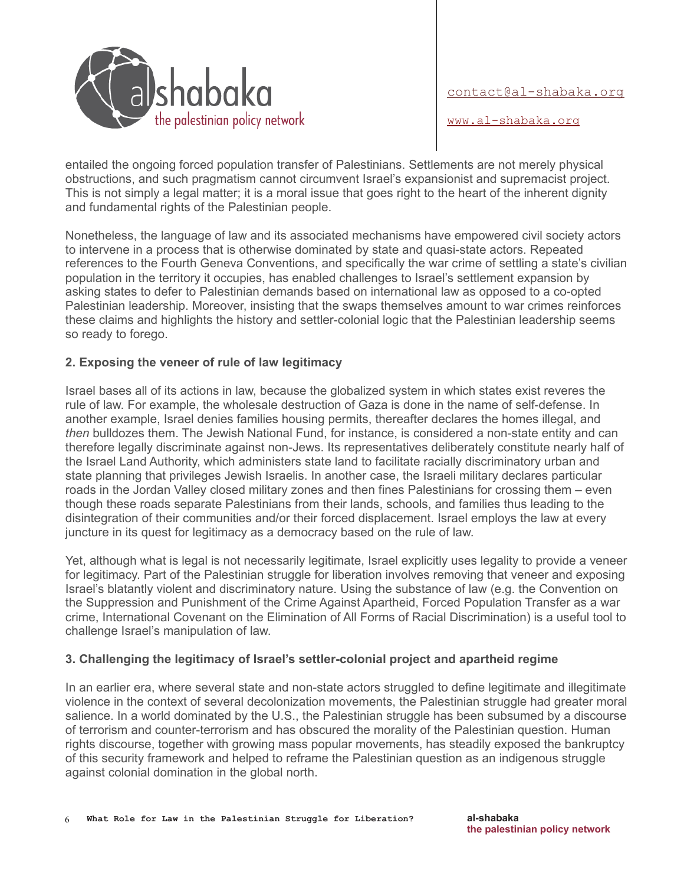

[www.al-shabaka.org](http://www.al-shabaka.org/)

entailed the ongoing forced population transfer of Palestinians. Settlements are not merely physical obstructions, and such pragmatism cannot circumvent Israel's expansionist and supremacist project. This is not simply a legal matter; it is a moral issue that goes right to the heart of the inherent dignity and fundamental rights of the Palestinian people.

Nonetheless, the language of law and its associated mechanisms have empowered civil society actors to intervene in a process that is otherwise dominated by state and quasi-state actors. Repeated references to the Fourth Geneva Conventions, and specifically the war crime of settling a state's civilian population in the territory it occupies, has enabled challenges to Israel's settlement expansion by asking states to defer to Palestinian demands based on international law as opposed to a co-opted Palestinian leadership. Moreover, insisting that the swaps themselves amount to war crimes reinforces these claims and highlights the history and settler-colonial logic that the Palestinian leadership seems so ready to forego.

#### **2. Exposing the veneer of rule of law legitimacy**

Israel bases all of its actions in law, because the globalized system in which states exist reveres the rule of law. For example, the wholesale destruction of Gaza is done in the name of self-defense. In another example, Israel denies families housing permits, thereafter declares the homes illegal, and *then* bulldozes them. The Jewish National Fund, for instance, is considered a non-state entity and can therefore legally discriminate against non-Jews. Its representatives deliberately constitute nearly half of the Israel Land Authority, which administers state land to facilitate racially discriminatory urban and state planning that privileges Jewish Israelis. In another case, the Israeli military declares particular roads in the Jordan Valley closed military zones and then fines Palestinians for crossing them – even though these roads separate Palestinians from their lands, schools, and families thus leading to the disintegration of their communities and/or their forced displacement. Israel employs the law at every juncture in its quest for legitimacy as a democracy based on the rule of law.

Yet, although what is legal is not necessarily legitimate, Israel explicitly uses legality to provide a veneer for legitimacy. Part of the Palestinian struggle for liberation involves removing that veneer and exposing Israel's blatantly violent and discriminatory nature. Using the substance of law (e.g. the Convention on the Suppression and Punishment of the Crime Against Apartheid, Forced Population Transfer as a war crime, International Covenant on the Elimination of All Forms of Racial Discrimination) is a useful tool to challenge Israel's manipulation of law.

#### **3. Challenging the legitimacy of Israel's settler-colonial project and apartheid regime**

In an earlier era, where several state and non-state actors struggled to define legitimate and illegitimate violence in the context of several decolonization movements, the Palestinian struggle had greater moral salience. In a world dominated by the U.S., the Palestinian struggle has been subsumed by a discourse of terrorism and counter-terrorism and has obscured the morality of the Palestinian question. Human rights discourse, together with growing mass popular movements, has steadily exposed the bankruptcy of this security framework and helped to reframe the Palestinian question as an indigenous struggle against colonial domination in the global north.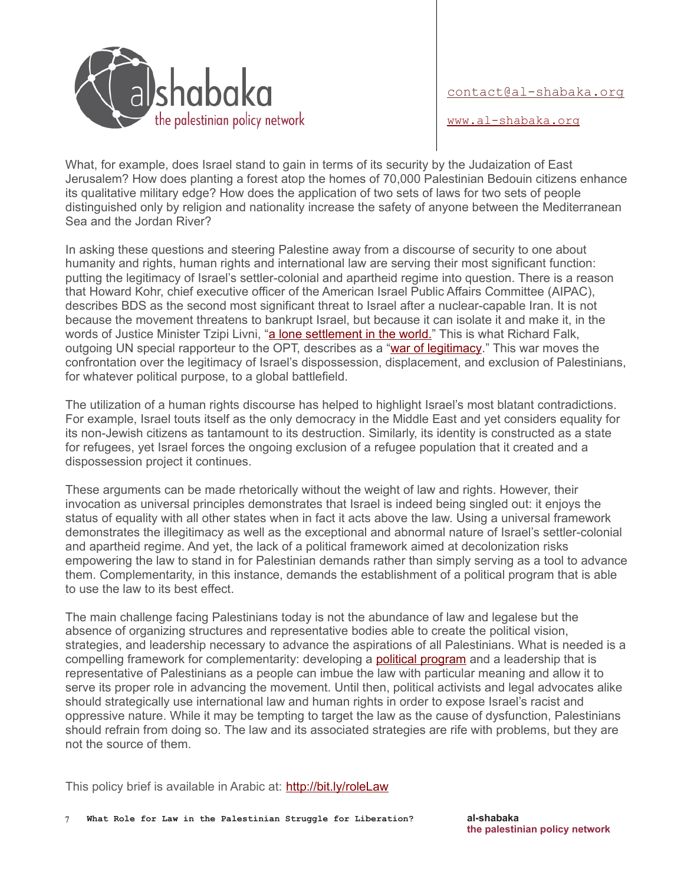

[www.al-shabaka.org](http://www.al-shabaka.org/)

What, for example, does Israel stand to gain in terms of its security by the Judaization of East Jerusalem? How does planting a forest atop the homes of 70,000 Palestinian Bedouin citizens enhance its qualitative military edge? How does the application of two sets of laws for two sets of people distinguished only by religion and nationality increase the safety of anyone between the Mediterranean Sea and the Jordan River?

In asking these questions and steering Palestine away from a discourse of security to one about humanity and rights, human rights and international law are serving their most significant function: putting the legitimacy of Israel's settler-colonial and apartheid regime into question. There is a reason that Howard Kohr, chief executive officer of the American Israel Public Affairs Committee (AIPAC), describes BDS as the second most significant threat to Israel after a nuclear-capable Iran. It is not because the movement threatens to bankrupt Israel, but because it can isolate it and make it, in the words of Justice Minister Tzipi Livni, ["a lone settlement in the world."](http://www.ynetnews.com/articles/0,7340,L-4471199,00.html) This is what Richard Falk, outgoing UN special rapporteur to the OPT, describes as a ["war of legitimacy.](http://www.truth-out.org/opinion/item/20418-interview-with-un-special-rapporteur-richard-falk-legitimacy-is-the-agency-of-history)" This war moves the confrontation over the legitimacy of Israel's dispossession, displacement, and exclusion of Palestinians, for whatever political purpose, to a global battlefield.

The utilization of a human rights discourse has helped to highlight Israel's most blatant contradictions. For example, Israel touts itself as the only democracy in the Middle East and yet considers equality for its non-Jewish citizens as tantamount to its destruction. Similarly, its identity is constructed as a state for refugees, yet Israel forces the ongoing exclusion of a refugee population that it created and a dispossession project it continues.

These arguments can be made rhetorically without the weight of law and rights. However, their invocation as universal principles demonstrates that Israel is indeed being singled out: it enjoys the status of equality with all other states when in fact it acts above the law. Using a universal framework demonstrates the illegitimacy as well as the exceptional and abnormal nature of Israel's settler-colonial and apartheid regime. And yet, the lack of a political framework aimed at decolonization risks empowering the law to stand in for Palestinian demands rather than simply serving as a tool to advance them. Complementarity, in this instance, demands the establishment of a political program that is able to use the law to its best effect.

The main challenge facing Palestinians today is not the abundance of law and legalese but the absence of organizing structures and representative bodies able to create the political vision, strategies, and leadership necessary to advance the aspirations of all Palestinians. What is needed is a compelling framework for complementarity: developing a **political program** and a leadership that is representative of Palestinians as a people can imbue the law with particular meaning and allow it to serve its proper role in advancing the movement. Until then, political activists and legal advocates alike should strategically use international law and human rights in order to expose Israel's racist and oppressive nature. While it may be tempting to target the law as the cause of dysfunction, Palestinians should refrain from doing so. The law and its associated strategies are rife with problems, but they are not the source of them.

This policy brief is available in Arabic at:<http://bit.ly/roleLaw>